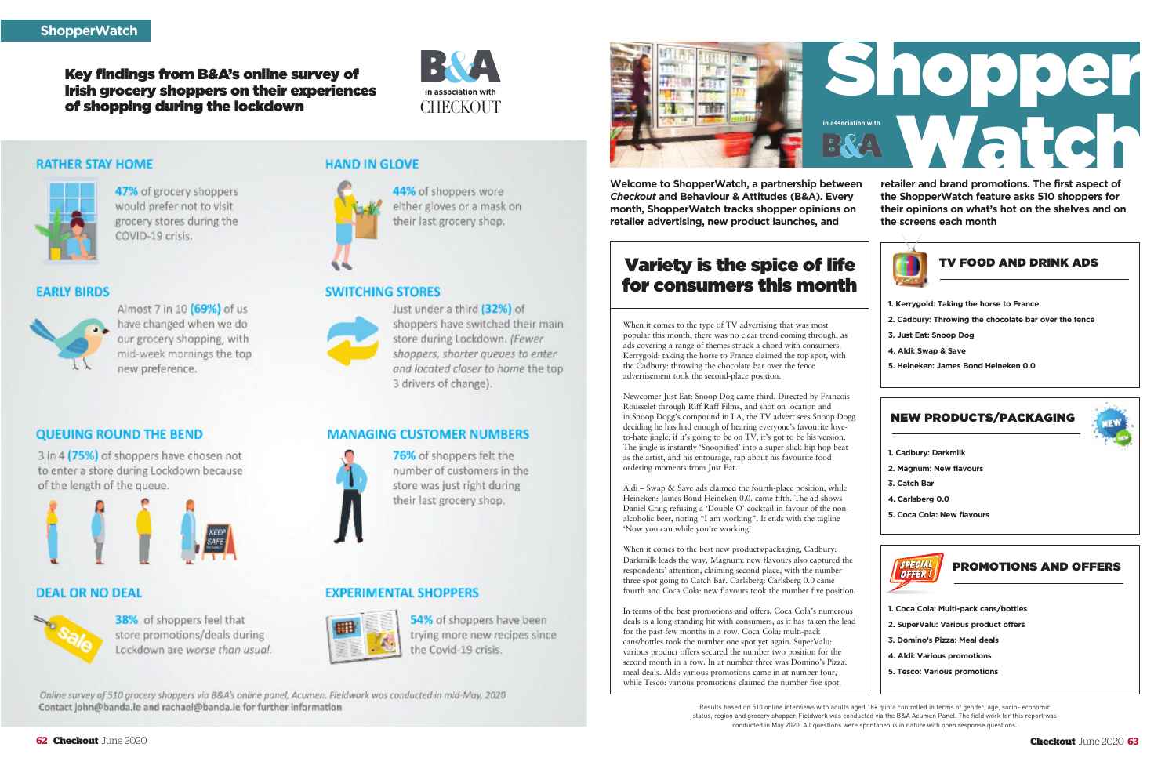When it comes to the type of TV advertising that was most popular this month, there was no clear trend coming through, as ads covering a range of themes struck a chord with consumers. Kerrygold: taking the horse to France claimed the top spot, with the Cadbury: throwing the chocolate bar over the fence advertisement took the second-place position.

Newcomer Just Eat: Snoop Dog came third. Directed by Francois Rousselet through Riff Raff Films, and shot on location and in Snoop Dogg's compound in LA, the TV advert sees Snoop Dogg deciding he has had enough of hearing everyone's favourite loveto-hate jingle; if it's going to be on TV, it's got to be his version. The jingle is instantly 'Snoopified' into a super-slick hip hop beat as the artist, and his entourage, rap about his favourite food ordering moments from Just Eat.

Aldi – Swap & Save ads claimed the fourth-place position, while Heineken: James Bond Heineken 0.0. came fifth. The ad shows Daniel Craig refusing a 'Double O' cocktail in favour of the nonalcoholic beer, noting "I am working". It ends with the tagline 'Now you can while you're working'.

When it comes to the best new products/packaging, Cadbury: Darkmilk leads the way. Magnum: new flavours also captured the respondents' attention, claiming second place, with the number three spot going to Catch Bar. Carlsberg: Carlsberg 0.0 came fourth and Coca Cola: new flavours took the number five position.

In terms of the best promotions and offers, Coca Cola's numerous deals is a long-standing hit with consumers, as it has taken the lead for the past few months in a row. Coca Cola: multi-pack cans/bottles took the number one spot yet again. SuperValu: various product offers secured the number two position for the second month in a row. In at number three was Domino's Pizza: meal deals. Aldi: various promotions came in at number four, while Tesco: various promotions claimed the number five spot.

**Welcome to ShopperWatch, a partnership between** *Checkout* **and Behaviour & Attitudes (B&A). Every month, ShopperWatch tracks shopper opinions on retailer advertising, new product launches, and**

**retailer and brand promotions. The first aspect of the ShopperWatch feature asks 510 shoppers for their opinions on what's hot on the shelves and on the screens each month**



## Variety is the spice of life for consumers this month

Results based on 510 online interviews with adults aged 18+ quota controlled in terms of gender, age, socio- economic status, region and grocery shopper. Fieldwork was conducted via the B&A Acumen Panel. The field work for this report was conducted in May 2020. All questions were spontaneous in nature with open response questions.

**DEAL OR NO DEAL** 

of the length of the queue.

**QUEUING ROUND THE BEND** 

3 in 4 (75%) of shoppers have chosen not

to enter a store during Lockdown because



- **1. Kerrygold: Taking the horse to France**
- **2. Cadbury: Throwing the chocolate bar over the fence**
- **3. Just Eat: Snoop Dog**
- **4. Aldi: Swap & Save**
- **5. Heineken: James Bond Heineken 0.0**

#### TV FOOD AND DRINK ADS

- **1. Cadbury: Darkmilk**
- **2. Magnum: New flavours**
- **3. Catch Bar**
- **4. Carlsberg 0.0**
- **5. Coca Cola: New flavours**

NEW PRODUCTS/PACKAGING



#### **Key findings from B&A's online survey of Irish grocery shoppers on their experiences of shopping during the lockdown** CHECKOUT



#### **RATHER STAY HOME**



47% of grocery shoppers would prefer not to visit grocery stores during the COVID-19 crisis.

#### **EARLY BIRDS**



Almost 7 in 10 (69%) of us have changed when we do our grocery shopping, with mid-week mornings the top new preference.

38% of shoppers feel that

store promotions/deals during

Lockdown are worse than usual.

#### **HAND IN GLOVE**



44% of shoppers wore either gloves or a mask on their last grocery shop.

#### **SWITCHING STORES**



Just under a third (32%) of shoppers have switched their main store during Lockdown. (Fewer shoppers, shorter queues to enter and located closer to home the top 3 drivers of change).

#### **MANAGING CUSTOMER NUMBERS**



76% of shoppers felt the number of customers in the store was just right during their last grocery shop.

#### **EXPERIMENTAL SHOPPERS**



54% of shoppers have been trying more new recipes since the Covid-19 crisis.

Online survey of 510 grocery shoppers via B&A's online panel, Acumen. Fieldwork was conducted in mid-May, 2020 Contact john@banda.ie and rachael@banda.ie for further information